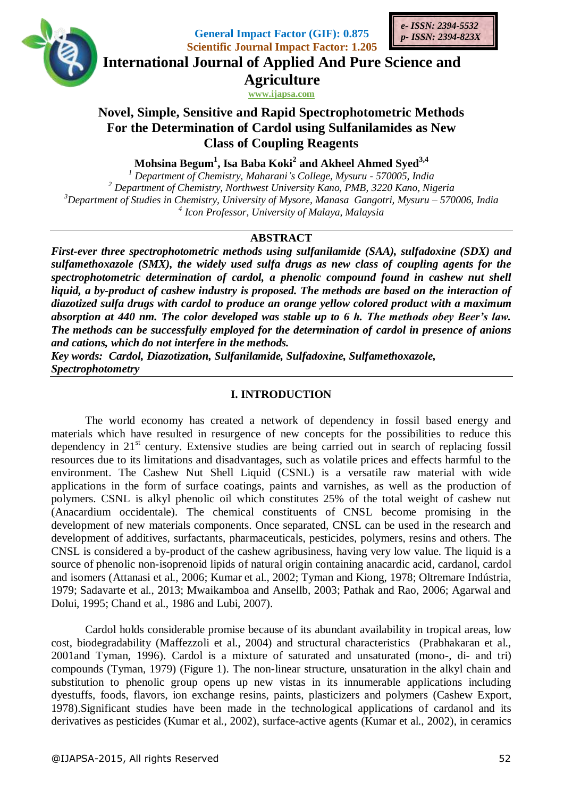

**General Impact Factor (GIF): 0.875 Scientific Journal Impact Factor: 1.205**



**International Journal of Applied And Pure Science and**

**Agriculture**

**www.ijapsa.com** 

**Novel, Simple, Sensitive and Rapid Spectrophotometric Methods For the Determination of Cardol using Sulfanilamides as New Class of Coupling Reagents**

**Mohsina Begum<sup>1</sup> , Isa Baba Koki<sup>2</sup> and Akheel Ahmed Syed3,4**

 *Department of Chemistry, Maharani's College, Mysuru - 570005, India Department of Chemistry, Northwest University Kano, PMB, 3220 Kano, Nigeria Department of Studies in Chemistry, University of Mysore, Manasa Gangotri, Mysuru – 570006, India Icon Professor, University of Malaya, Malaysia*

## **ABSTRACT**

*First-ever three spectrophotometric methods using sulfanilamide (SAA), sulfadoxine (SDX) and sulfamethoxazole (SMX), the widely used sulfa drugs as new class of coupling agents for the spectrophotometric determination of cardol, a phenolic compound found in cashew nut shell liquid, a by-product of cashew industry is proposed. The methods are based on the interaction of diazotized sulfa drugs with cardol to produce an orange yellow colored product with a maximum absorption at 440 nm. The color developed was stable up to 6 h. The methods obey Beer's law. The methods can be successfully employed for the determination of cardol in presence of anions and cations, which do not interfere in the methods.*

*Key words: Cardol, Diazotization, Sulfanilamide, Sulfadoxine, Sulfamethoxazole, Spectrophotometry*

## **I. INTRODUCTION**

The world economy has created a network of dependency in fossil based energy and materials which have resulted in resurgence of new concepts for the possibilities to reduce this dependency in 21<sup>st</sup> century. Extensive studies are being carried out in search of replacing fossil resources due to its limitations and disadvantages, such as volatile prices and effects harmful to the environment. The Cashew Nut Shell Liquid (CSNL) is a versatile raw material with wide applications in the form of surface coatings, paints and varnishes, as well as the production of polymers. CSNL is alkyl phenolic oil which constitutes 25% of the total weight of cashew nut (Anacardium occidentale). The chemical constituents of CNSL become promising in the development of new materials components. Once separated, CNSL can be used in the research and development of additives, surfactants, pharmaceuticals, pesticides, polymers, resins and others. The CNSL is considered a by-product of the cashew agribusiness, having very low value. The liquid is a source of phenolic non-isoprenoid lipids of natural origin containing anacardic acid, cardanol, cardol and isomers (Attanasi et al., 2006; Kumar et al., 2002; Tyman and Kiong, 1978; Oltremare Indústria, 1979; Sadavarte et al., 2013; Mwaikamboa and Ansellb, 2003; Pathak and Rao, 2006; Agarwal and Dolui, 1995; Chand et al., 1986 and Lubi, 2007).

Cardol holds considerable promise because of its abundant availability in tropical areas, low cost, biodegradability (Maffezzoli et al., 2004) and structural characteristics (Prabhakaran et al., 2001and Tyman, 1996). Cardol is a mixture of saturated and unsaturated (mono-, di- and tri) compounds (Tyman, 1979) (Figure 1). The non-linear structure, unsaturation in the alkyl chain and substitution to phenolic group opens up new vistas in its innumerable applications including dyestuffs, foods, flavors, ion exchange resins, paints, plasticizers and polymers (Cashew Export, 1978).Significant studies have been made in the technological applications of cardanol and its derivatives as pesticides (Kumar et al., 2002), surface-active agents (Kumar et al., 2002), in ceramics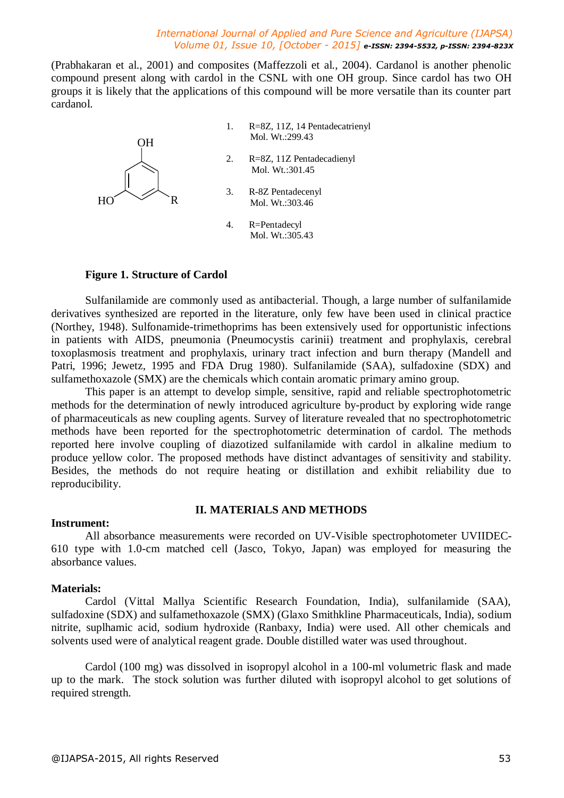(Prabhakaran et al., 2001) and composites (Maffezzoli et al., 2004). Cardanol is another phenolic compound present along with cardol in the CSNL with one OH group. Since cardol has two OH groups it is likely that the applications of this compound will be more versatile than its counter part cardanol.

- R OH 1. R=8Z, 11Z, 14 Pentadecatrienyl Mol. Wt.:299.43 2. R=8Z, 11Z Pentadecadienyl Mol. Wt.:301.45 3. R-8Z Pentadecenyl Mol. Wt.:303.46  $HC$ 
	- 4. R=Pentadecyl Mol. Wt.:305.43

## **Figure 1. Structure of Cardol**

Sulfanilamide are commonly used as antibacterial. Though, a large number of sulfanilamide derivatives synthesized are reported in the literature, only few have been used in clinical practice (Northey, 1948). Sulfonamide-trimethoprims has been extensively used for opportunistic infections in patients with AIDS, pneumonia (Pneumocystis carinii) treatment and prophylaxis, cerebral toxoplasmosis treatment and prophylaxis, urinary tract infection and burn therapy (Mandell and Patri, 1996; Jewetz, 1995 and FDA Drug 1980). Sulfanilamide (SAA), sulfadoxine (SDX) and sulfamethoxazole (SMX) are the chemicals which contain aromatic primary amino group.

This paper is an attempt to develop simple, sensitive, rapid and reliable spectrophotometric methods for the determination of newly introduced agriculture by-product by exploring wide range of pharmaceuticals as new coupling agents. Survey of literature revealed that no spectrophotometric methods have been reported for the spectrophotometric determination of cardol. The methods reported here involve coupling of diazotized sulfanilamide with cardol in alkaline medium to produce yellow color. The proposed methods have distinct advantages of sensitivity and stability. Besides, the methods do not require heating or distillation and exhibit reliability due to reproducibility.

#### **II. MATERIALS AND METHODS**

#### **Instrument:**

All absorbance measurements were recorded on UV-Visible spectrophotometer UVIIDEC-610 type with 1.0-cm matched cell (Jasco, Tokyo, Japan) was employed for measuring the absorbance values.

## **Materials:**

Cardol (Vittal Mallya Scientific Research Foundation, India), sulfanilamide (SAA), sulfadoxine (SDX) and sulfamethoxazole (SMX) (Glaxo Smithkline Pharmaceuticals, India), sodium nitrite, suplhamic acid, sodium hydroxide (Ranbaxy, India) were used. All other chemicals and solvents used were of analytical reagent grade. Double distilled water was used throughout*.* 

Cardol (100 mg) was dissolved in isopropyl alcohol in a 100-ml volumetric flask and made up to the mark. The stock solution was further diluted with isopropyl alcohol to get solutions of required strength.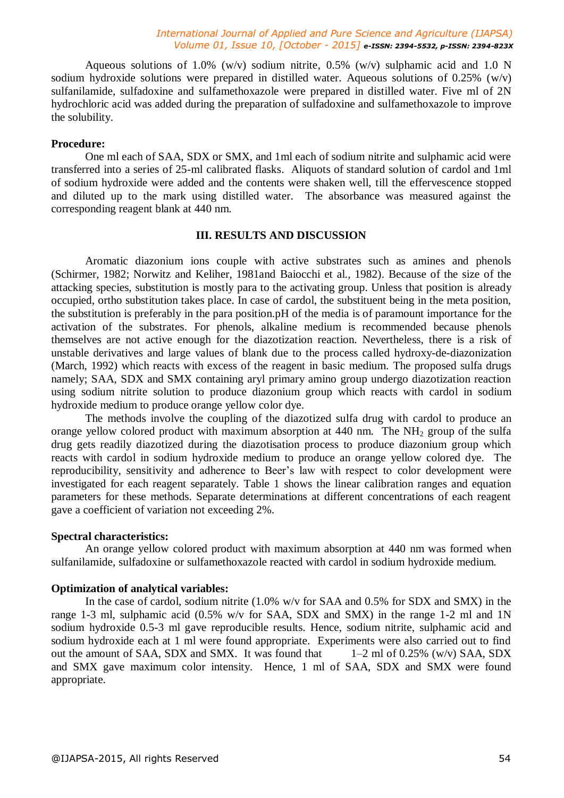Aqueous solutions of 1.0% (w/v) sodium nitrite, 0.5% (w/v) sulphamic acid and 1.0 N sodium hydroxide solutions were prepared in distilled water. Aqueous solutions of  $0.25\%$  (w/v) sulfanilamide, sulfadoxine and sulfamethoxazole were prepared in distilled water. Five ml of 2N hydrochloric acid was added during the preparation of sulfadoxine and sulfamethoxazole to improve the solubility.

#### **Procedure:**

One ml each of SAA, SDX or SMX, and 1ml each of sodium nitrite and sulphamic acid were transferred into a series of 25-ml calibrated flasks. Aliquots of standard solution of cardol and 1ml of sodium hydroxide were added and the contents were shaken well, till the effervescence stopped and diluted up to the mark using distilled water. The absorbance was measured against the corresponding reagent blank at 440 nm.

## **III. RESULTS AND DISCUSSION**

Aromatic diazonium ions couple with active substrates such as amines and phenols (Schirmer, 1982; Norwitz and Keliher, 1981and Baiocchi et al., 1982). Because of the size of the attacking species, substitution is mostly para to the activating group. Unless that position is already occupied, ortho substitution takes place. In case of cardol, the substituent being in the meta position, the substitution is preferably in the para position.pH of the media is of paramount importance for the activation of the substrates. For phenols, alkaline medium is recommended because phenols themselves are not active enough for the diazotization reaction. Nevertheless, there is a risk of unstable derivatives and large values of blank due to the process called hydroxy-de-diazonization (March, 1992) which reacts with excess of the reagent in basic medium. The proposed sulfa drugs namely; SAA, SDX and SMX containing aryl primary amino group undergo diazotization reaction using sodium nitrite solution to produce diazonium group which reacts with cardol in sodium hydroxide medium to produce orange yellow color dye.

The methods involve the coupling of the diazotized sulfa drug with cardol to produce an orange yellow colored product with maximum absorption at  $440$  nm. The NH<sub>2</sub> group of the sulfa drug gets readily diazotized during the diazotisation process to produce diazonium group which reacts with cardol in sodium hydroxide medium to produce an orange yellow colored dye. The reproducibility, sensitivity and adherence to Beer's law with respect to color development were investigated for each reagent separately. Table 1 shows the linear calibration ranges and equation parameters for these methods. Separate determinations at different concentrations of each reagent gave a coefficient of variation not exceeding 2%.

#### **Spectral characteristics:**

An orange yellow colored product with maximum absorption at 440 nm was formed when sulfanilamide, sulfadoxine or sulfamethoxazole reacted with cardol in sodium hydroxide medium.

#### **Optimization of analytical variables:**

In the case of cardol, sodium nitrite (1.0% w/v for SAA and 0.5% for SDX and SMX) in the range 1-3 ml, sulphamic acid (0.5% w/v for SAA, SDX and SMX) in the range 1-2 ml and 1N sodium hydroxide 0.5-3 ml gave reproducible results. Hence, sodium nitrite, sulphamic acid and sodium hydroxide each at 1 ml were found appropriate. Experiments were also carried out to find out the amount of SAA, SDX and SMX. It was found that 1–2 ml of 0.25% (w/v) SAA, SDX and SMX gave maximum color intensity. Hence, 1 ml of SAA, SDX and SMX were found appropriate.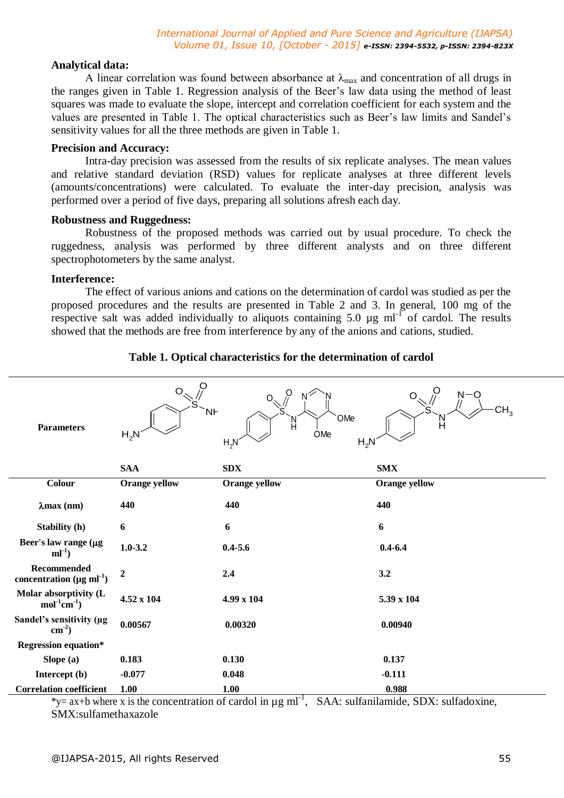## **Analytical data:**

A linear correlation was found between absorbance at  $\lambda_{\text{max}}$  and concentration of all drugs in the ranges given in Table 1. Regression analysis of the Beer's law data using the method of least squares was made to evaluate the slope, intercept and correlation coefficient for each system and the values are presented in Table 1. The optical characteristics such as Beer's law limits and Sandel's sensitivity values for all the three methods are given in Table 1.

#### **Precision and Accuracy:**

Intra-day precision was assessed from the results of six replicate analyses. The mean values and relative standard deviation (RSD) values for replicate analyses at three different levels (amounts/concentrations) were calculated. To evaluate the inter-day precision, analysis was performed over a period of five days, preparing all solutions afresh each day.

#### **Robustness and Ruggedness:**

Robustness of the proposed methods was carried out by usual procedure. To check the ruggedness, analysis was performed by three different analysts and on three different spectrophotometers by the same analyst.

#### **Interference:**

The effect of various anions and cations on the determination of cardol was studied as per the proposed procedures and the results are presented in Table 2 and 3. In general, 100 mg of the respective salt was added individually to aliquots containing 5.0  $\mu$ g ml<sup>-1</sup> of cardol. The results showed that the methods are free from interference by any of the anions and cations, studied.

| <b>Parameters</b>                                                | $\Omega$<br>Νŀ<br>$H_2N$<br><b>SAA</b> | Ö<br>N<br>OMe<br>N<br>H<br>OMe<br>$H_2N$<br>$H_2N$<br><b>SDX</b> | $\Omega$<br>CH <sub>3</sub><br>$\frac{N}{H}$<br><b>SMX</b> |
|------------------------------------------------------------------|----------------------------------------|------------------------------------------------------------------|------------------------------------------------------------|
| Colour                                                           | <b>Orange yellow</b>                   | <b>Orange yellow</b>                                             | <b>Orange yellow</b>                                       |
|                                                                  |                                        |                                                                  |                                                            |
| $\lambda$ max (nm)                                               | 440                                    | 440                                                              | 440                                                        |
| <b>Stability</b> (h)                                             | 6                                      | 6                                                                | 6                                                          |
| Beer's law range (µg<br>$ml^{-1}$                                | $1.0 - 3.2$                            | $0.4 - 5.6$                                                      | $0.4 - 6.4$                                                |
| <b>Recommended</b><br>concentration ( $\mu$ g ml <sup>-1</sup> ) | $\boldsymbol{2}$                       | 2.4                                                              | 3.2                                                        |
| Molar absorptivity (L<br>$mol-1cm-1)$                            | $4.52 \times 104$                      | 4.99 x 104                                                       | 5.39 x 104                                                 |
| Sandel's sensitivity (μg<br>$\text{cm}^2$ )                      | 0.00567                                | 0.00320                                                          | 0.00940                                                    |
| <b>Regression equation*</b>                                      |                                        |                                                                  |                                                            |
| Slope (a)                                                        | 0.183                                  | 0.130                                                            | 0.137                                                      |
| Intercept (b)                                                    | $-0.077$                               | 0.048                                                            | $-0.111$                                                   |
| <b>Correlation coefficient</b>                                   | 1.00                                   | 1.00                                                             | 0.988                                                      |

## **Table 1. Optical characteristics for the determination of cardol**

\*y=  $ax + b$  where x is the concentration of cardol in  $\mu g$  ml<sup>-1</sup>, SAA: sulfanilamide, SDX: sulfadoxine, SMX:sulfamethaxazole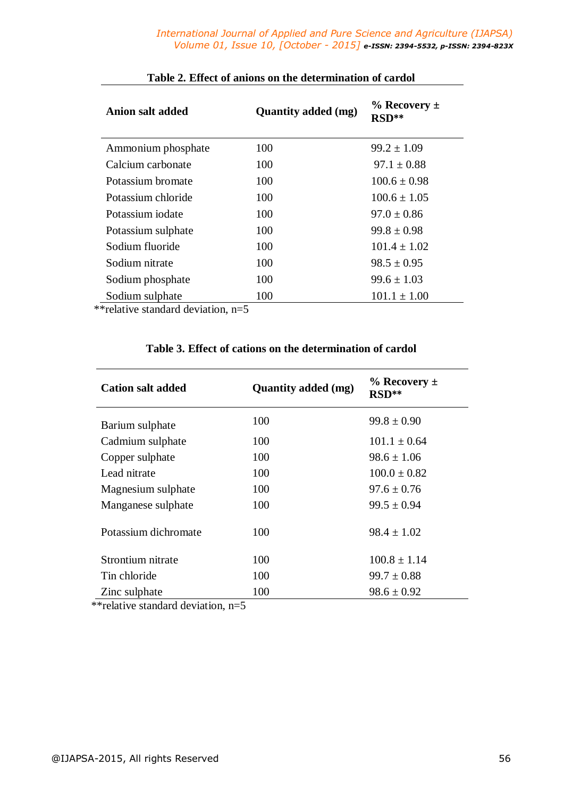| <b>Anion salt added</b> | <b>Quantity added (mg)</b> | $\%$ Recovery $\pm$<br>$RSD**$ |
|-------------------------|----------------------------|--------------------------------|
| Ammonium phosphate      | 100                        | $99.2 \pm 1.09$                |
| Calcium carbonate       | 100                        | $97.1 \pm 0.88$                |
| Potassium bromate       | 100                        | $100.6 \pm 0.98$               |
| Potassium chloride      | 100                        | $100.6 \pm 1.05$               |
| Potassium iodate        | 100                        | $97.0 \pm 0.86$                |
| Potassium sulphate      | 100                        | $99.8 \pm 0.98$                |
| Sodium fluoride         | 100                        | $101.4 \pm 1.02$               |
| Sodium nitrate          | 100                        | $98.5 \pm 0.95$                |
| Sodium phosphate        | 100                        | $99.6 \pm 1.03$                |
| Sodium sulphate<br>.    | 100                        | $101.1 \pm 1.00$               |

#### **Table 2. Effect of anions on the determination of cardol**

\*\*relative standard deviation, n=5

# **Table 3. Effect of cations on the determination of cardol**

| <b>Cation salt added</b> | <b>Quantity added (mg)</b> | $\%$ Recovery $\pm$<br>RSD** |
|--------------------------|----------------------------|------------------------------|
| Barium sulphate          | 100                        | $99.8 \pm 0.90$              |
| Cadmium sulphate         | 100                        | $101.1 \pm 0.64$             |
| Copper sulphate          | 100                        | $98.6 \pm 1.06$              |
| Lead nitrate             | 100                        | $100.0 \pm 0.82$             |
| Magnesium sulphate       | 100                        | $97.6 \pm 0.76$              |
| Manganese sulphate       | 100                        | $99.5 \pm 0.94$              |
| Potassium dichromate     | 100                        | $98.4 \pm 1.02$              |
| Strontium nitrate        | 100                        | $100.8 \pm 1.14$             |
| Tin chloride             | 100                        | $99.7 \pm 0.88$              |
| Zinc sulphate<br>.       | 100                        | $98.6 \pm 0.92$              |

\*\*relative standard deviation,  $n=5$